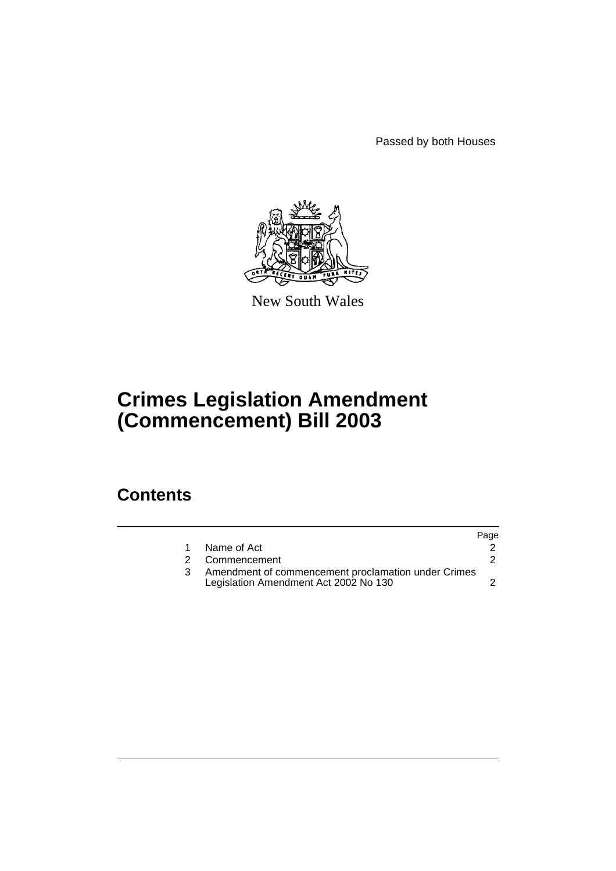Passed by both Houses



New South Wales

# **Crimes Legislation Amendment (Commencement) Bill 2003**

## **Contents**

|                                                                                              | Page |
|----------------------------------------------------------------------------------------------|------|
| Name of Act                                                                                  |      |
| 2 Commencement                                                                               |      |
| Amendment of commencement proclamation under Crimes<br>Legislation Amendment Act 2002 No 130 |      |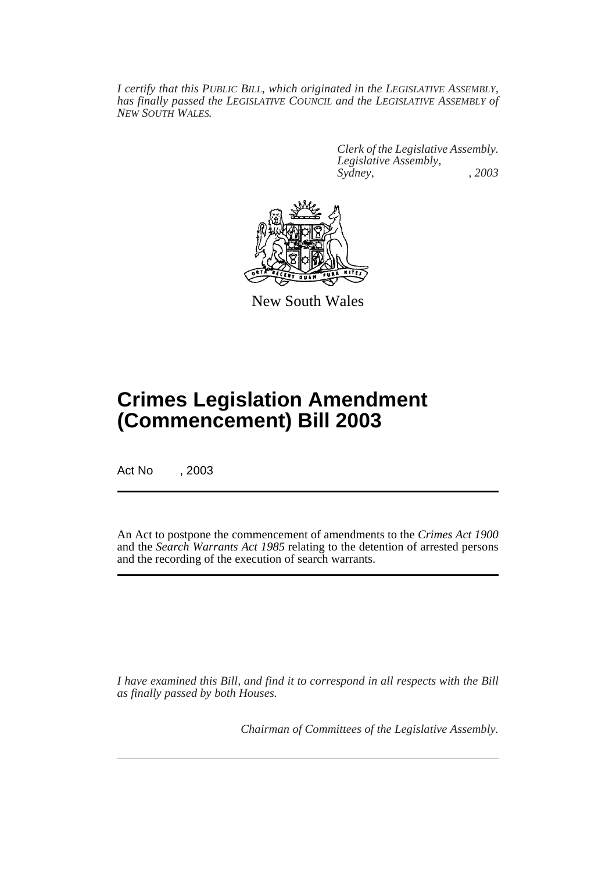*I certify that this PUBLIC BILL, which originated in the LEGISLATIVE ASSEMBLY, has finally passed the LEGISLATIVE COUNCIL and the LEGISLATIVE ASSEMBLY of NEW SOUTH WALES.*

> *Clerk of the Legislative Assembly. Legislative Assembly, Sydney, , 2003*



New South Wales

## **Crimes Legislation Amendment (Commencement) Bill 2003**

Act No , 2003

An Act to postpone the commencement of amendments to the *Crimes Act 1900* and the *Search Warrants Act 1985* relating to the detention of arrested persons and the recording of the execution of search warrants.

*I have examined this Bill, and find it to correspond in all respects with the Bill as finally passed by both Houses.*

*Chairman of Committees of the Legislative Assembly.*